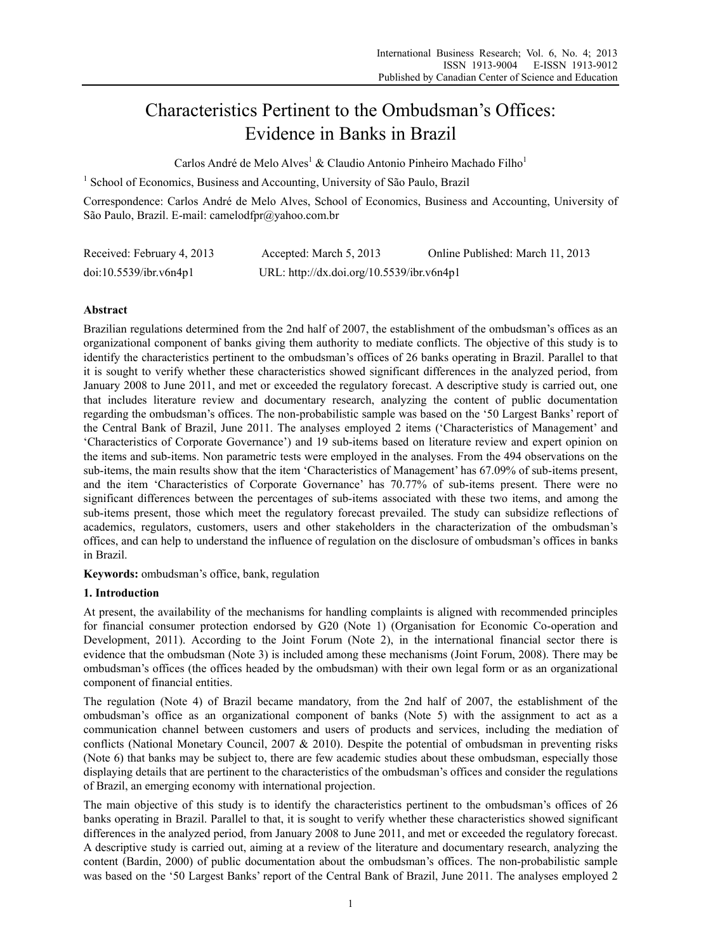# Characteristics Pertinent to the Ombudsman's Offices: Evidence in Banks in Brazil

Carlos André de Melo Alves<sup>1</sup> & Claudio Antonio Pinheiro Machado Filho<sup>1</sup>

<sup>1</sup> School of Economics, Business and Accounting, University of São Paulo, Brazil

Correspondence: Carlos André de Melo Alves, School of Economics, Business and Accounting, University of São Paulo, Brazil. E-mail: camelodfpr@yahoo.com.br

| Received: February 4, 2013 | Accepted: March 5, 2013                   | Online Published: March 11, 2013 |
|----------------------------|-------------------------------------------|----------------------------------|
| doi:10.5539/ibr.v6n4p1     | URL: http://dx.doi.org/10.5539/ibr.v6n4p1 |                                  |

# **Abstract**

Brazilian regulations determined from the 2nd half of 2007, the establishment of the ombudsman's offices as an organizational component of banks giving them authority to mediate conflicts. The objective of this study is to identify the characteristics pertinent to the ombudsman's offices of 26 banks operating in Brazil. Parallel to that it is sought to verify whether these characteristics showed significant differences in the analyzed period, from January 2008 to June 2011, and met or exceeded the regulatory forecast. A descriptive study is carried out, one that includes literature review and documentary research, analyzing the content of public documentation regarding the ombudsman's offices. The non-probabilistic sample was based on the '50 Largest Banks' report of the Central Bank of Brazil, June 2011. The analyses employed 2 items ('Characteristics of Management' and 'Characteristics of Corporate Governance') and 19 sub-items based on literature review and expert opinion on the items and sub-items. Non parametric tests were employed in the analyses. From the 494 observations on the sub-items, the main results show that the item 'Characteristics of Management' has 67.09% of sub-items present, and the item 'Characteristics of Corporate Governance' has 70.77% of sub-items present. There were no significant differences between the percentages of sub-items associated with these two items, and among the sub-items present, those which meet the regulatory forecast prevailed. The study can subsidize reflections of academics, regulators, customers, users and other stakeholders in the characterization of the ombudsman's offices, and can help to understand the influence of regulation on the disclosure of ombudsman's offices in banks in Brazil.

**Keywords:** ombudsman's office, bank, regulation

# **1. Introduction**

At present, the availability of the mechanisms for handling complaints is aligned with recommended principles for financial consumer protection endorsed by G20 (Note 1) (Organisation for Economic Co-operation and Development, 2011). According to the Joint Forum (Note 2), in the international financial sector there is evidence that the ombudsman (Note 3) is included among these mechanisms (Joint Forum, 2008). There may be ombudsman's offices (the offices headed by the ombudsman) with their own legal form or as an organizational component of financial entities.

The regulation (Note 4) of Brazil became mandatory, from the 2nd half of 2007, the establishment of the ombudsman's office as an organizational component of banks (Note 5) with the assignment to act as a communication channel between customers and users of products and services, including the mediation of conflicts (National Monetary Council, 2007 & 2010). Despite the potential of ombudsman in preventing risks (Note 6) that banks may be subject to, there are few academic studies about these ombudsman, especially those displaying details that are pertinent to the characteristics of the ombudsman's offices and consider the regulations of Brazil, an emerging economy with international projection.

The main objective of this study is to identify the characteristics pertinent to the ombudsman's offices of 26 banks operating in Brazil. Parallel to that, it is sought to verify whether these characteristics showed significant differences in the analyzed period, from January 2008 to June 2011, and met or exceeded the regulatory forecast. A descriptive study is carried out, aiming at a review of the literature and documentary research, analyzing the content (Bardin, 2000) of public documentation about the ombudsman's offices. The non-probabilistic sample was based on the '50 Largest Banks' report of the Central Bank of Brazil, June 2011. The analyses employed 2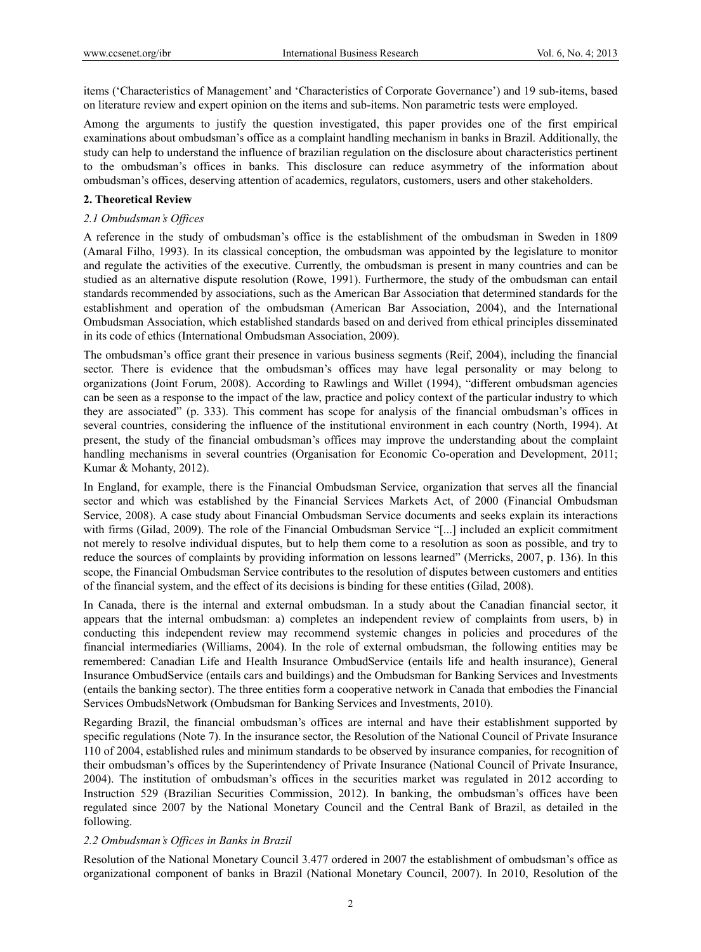items ('Characteristics of Management' and 'Characteristics of Corporate Governance') and 19 sub-items, based on literature review and expert opinion on the items and sub-items. Non parametric tests were employed.

Among the arguments to justify the question investigated, this paper provides one of the first empirical examinations about ombudsman's office as a complaint handling mechanism in banks in Brazil. Additionally, the study can help to understand the influence of brazilian regulation on the disclosure about characteristics pertinent to the ombudsman's offices in banks. This disclosure can reduce asymmetry of the information about ombudsman's offices, deserving attention of academics, regulators, customers, users and other stakeholders.

## **2. Theoretical Review**

## *2.1 Ombudsman's Offices*

A reference in the study of ombudsman's office is the establishment of the ombudsman in Sweden in 1809 (Amaral Filho, 1993). In its classical conception, the ombudsman was appointed by the legislature to monitor and regulate the activities of the executive. Currently, the ombudsman is present in many countries and can be studied as an alternative dispute resolution (Rowe, 1991). Furthermore, the study of the ombudsman can entail standards recommended by associations, such as the American Bar Association that determined standards for the establishment and operation of the ombudsman (American Bar Association, 2004), and the International Ombudsman Association, which established standards based on and derived from ethical principles disseminated in its code of ethics (International Ombudsman Association, 2009).

The ombudsman's office grant their presence in various business segments (Reif, 2004), including the financial sector. There is evidence that the ombudsman's offices may have legal personality or may belong to organizations (Joint Forum, 2008). According to Rawlings and Willet (1994), "different ombudsman agencies can be seen as a response to the impact of the law, practice and policy context of the particular industry to which they are associated" (p. 333). This comment has scope for analysis of the financial ombudsman's offices in several countries, considering the influence of the institutional environment in each country (North, 1994). At present, the study of the financial ombudsman's offices may improve the understanding about the complaint handling mechanisms in several countries (Organisation for Economic Co-operation and Development, 2011; Kumar & Mohanty, 2012).

In England, for example, there is the Financial Ombudsman Service, organization that serves all the financial sector and which was established by the Financial Services Markets Act, of 2000 (Financial Ombudsman Service, 2008). A case study about Financial Ombudsman Service documents and seeks explain its interactions with firms (Gilad, 2009). The role of the Financial Ombudsman Service "[...] included an explicit commitment not merely to resolve individual disputes, but to help them come to a resolution as soon as possible, and try to reduce the sources of complaints by providing information on lessons learned" (Merricks, 2007, p. 136). In this scope, the Financial Ombudsman Service contributes to the resolution of disputes between customers and entities of the financial system, and the effect of its decisions is binding for these entities (Gilad, 2008).

In Canada, there is the internal and external ombudsman. In a study about the Canadian financial sector, it appears that the internal ombudsman: a) completes an independent review of complaints from users, b) in conducting this independent review may recommend systemic changes in policies and procedures of the financial intermediaries (Williams, 2004). In the role of external ombudsman, the following entities may be remembered: Canadian Life and Health Insurance OmbudService (entails life and health insurance), General Insurance OmbudService (entails cars and buildings) and the Ombudsman for Banking Services and Investments (entails the banking sector). The three entities form a cooperative network in Canada that embodies the Financial Services OmbudsNetwork (Ombudsman for Banking Services and Investments, 2010).

Regarding Brazil, the financial ombudsman's offices are internal and have their establishment supported by specific regulations (Note 7). In the insurance sector, the Resolution of the National Council of Private Insurance 110 of 2004, established rules and minimum standards to be observed by insurance companies, for recognition of their ombudsman's offices by the Superintendency of Private Insurance (National Council of Private Insurance, 2004). The institution of ombudsman's offices in the securities market was regulated in 2012 according to Instruction 529 (Brazilian Securities Commission, 2012). In banking, the ombudsman's offices have been regulated since 2007 by the National Monetary Council and the Central Bank of Brazil, as detailed in the following.

## *2.2 Ombudsman's Offices in Banks in Brazil*

Resolution of the National Monetary Council 3.477 ordered in 2007 the establishment of ombudsman's office as organizational component of banks in Brazil (National Monetary Council, 2007). In 2010, Resolution of the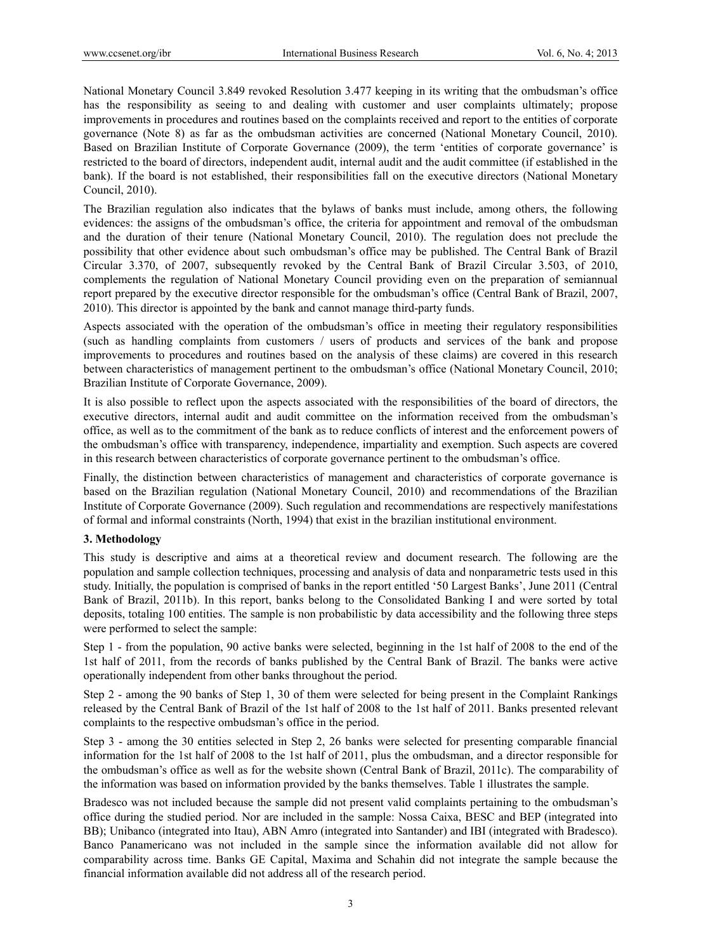National Monetary Council 3.849 revoked Resolution 3.477 keeping in its writing that the ombudsman's office has the responsibility as seeing to and dealing with customer and user complaints ultimately; propose improvements in procedures and routines based on the complaints received and report to the entities of corporate governance (Note 8) as far as the ombudsman activities are concerned (National Monetary Council, 2010). Based on Brazilian Institute of Corporate Governance (2009), the term 'entities of corporate governance' is restricted to the board of directors, independent audit, internal audit and the audit committee (if established in the bank). If the board is not established, their responsibilities fall on the executive directors (National Monetary Council, 2010).

The Brazilian regulation also indicates that the bylaws of banks must include, among others, the following evidences: the assigns of the ombudsman's office, the criteria for appointment and removal of the ombudsman and the duration of their tenure (National Monetary Council, 2010). The regulation does not preclude the possibility that other evidence about such ombudsman's office may be published. The Central Bank of Brazil Circular 3.370, of 2007, subsequently revoked by the Central Bank of Brazil Circular 3.503, of 2010, complements the regulation of National Monetary Council providing even on the preparation of semiannual report prepared by the executive director responsible for the ombudsman's office (Central Bank of Brazil, 2007, 2010). This director is appointed by the bank and cannot manage third-party funds.

Aspects associated with the operation of the ombudsman's office in meeting their regulatory responsibilities (such as handling complaints from customers / users of products and services of the bank and propose improvements to procedures and routines based on the analysis of these claims) are covered in this research between characteristics of management pertinent to the ombudsman's office (National Monetary Council, 2010; Brazilian Institute of Corporate Governance, 2009).

It is also possible to reflect upon the aspects associated with the responsibilities of the board of directors, the executive directors, internal audit and audit committee on the information received from the ombudsman's office, as well as to the commitment of the bank as to reduce conflicts of interest and the enforcement powers of the ombudsman's office with transparency, independence, impartiality and exemption. Such aspects are covered in this research between characteristics of corporate governance pertinent to the ombudsman's office.

Finally, the distinction between characteristics of management and characteristics of corporate governance is based on the Brazilian regulation (National Monetary Council, 2010) and recommendations of the Brazilian Institute of Corporate Governance (2009). Such regulation and recommendations are respectively manifestations of formal and informal constraints (North, 1994) that exist in the brazilian institutional environment.

# **3. Methodology**

This study is descriptive and aims at a theoretical review and document research. The following are the population and sample collection techniques, processing and analysis of data and nonparametric tests used in this study. Initially, the population is comprised of banks in the report entitled '50 Largest Banks', June 2011 (Central Bank of Brazil, 2011b). In this report, banks belong to the Consolidated Banking I and were sorted by total deposits, totaling 100 entities. The sample is non probabilistic by data accessibility and the following three steps were performed to select the sample:

Step 1 - from the population, 90 active banks were selected, beginning in the 1st half of 2008 to the end of the 1st half of 2011, from the records of banks published by the Central Bank of Brazil. The banks were active operationally independent from other banks throughout the period.

Step 2 - among the 90 banks of Step 1, 30 of them were selected for being present in the Complaint Rankings released by the Central Bank of Brazil of the 1st half of 2008 to the 1st half of 2011. Banks presented relevant complaints to the respective ombudsman's office in the period.

Step 3 - among the 30 entities selected in Step 2, 26 banks were selected for presenting comparable financial information for the 1st half of 2008 to the 1st half of 2011, plus the ombudsman, and a director responsible for the ombudsman's office as well as for the website shown (Central Bank of Brazil, 2011c). The comparability of the information was based on information provided by the banks themselves. Table 1 illustrates the sample.

Bradesco was not included because the sample did not present valid complaints pertaining to the ombudsman's office during the studied period. Nor are included in the sample: Nossa Caixa, BESC and BEP (integrated into BB); Unibanco (integrated into Itau), ABN Amro (integrated into Santander) and IBI (integrated with Bradesco). Banco Panamericano was not included in the sample since the information available did not allow for comparability across time. Banks GE Capital, Maxima and Schahin did not integrate the sample because the financial information available did not address all of the research period.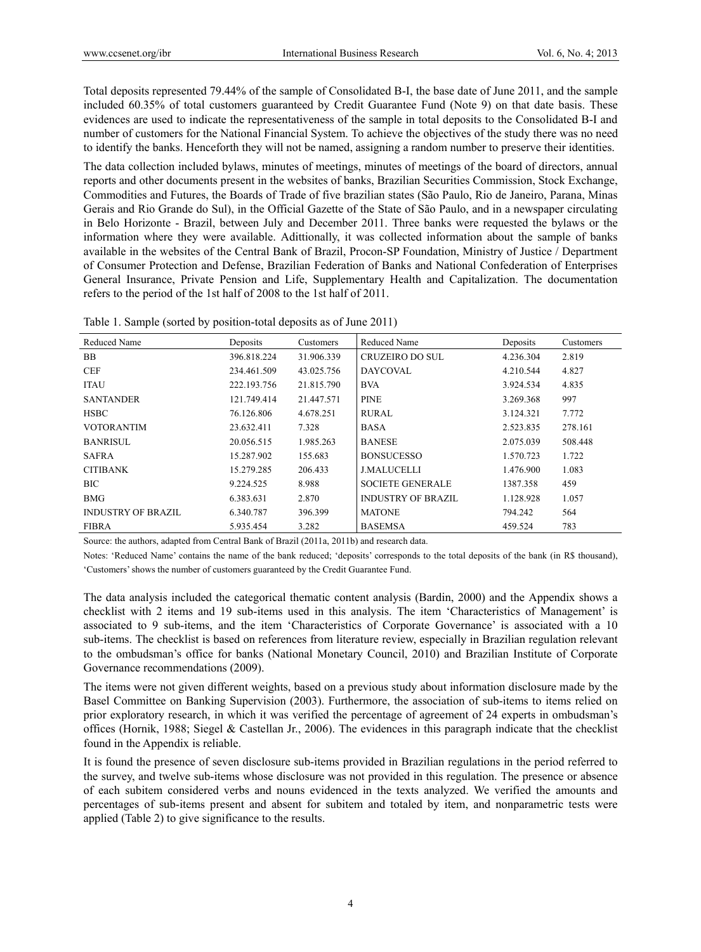Total deposits represented 79.44% of the sample of Consolidated B-I, the base date of June 2011, and the sample included 60.35% of total customers guaranteed by Credit Guarantee Fund (Note 9) on that date basis. These evidences are used to indicate the representativeness of the sample in total deposits to the Consolidated B-I and number of customers for the National Financial System. To achieve the objectives of the study there was no need to identify the banks. Henceforth they will not be named, assigning a random number to preserve their identities.

The data collection included bylaws, minutes of meetings, minutes of meetings of the board of directors, annual reports and other documents present in the websites of banks, Brazilian Securities Commission, Stock Exchange, Commodities and Futures, the Boards of Trade of five brazilian states (São Paulo, Rio de Janeiro, Parana, Minas Gerais and Rio Grande do Sul), in the Official Gazette of the State of São Paulo, and in a newspaper circulating in Belo Horizonte - Brazil, between July and December 2011. Three banks were requested the bylaws or the information where they were available. Adittionally, it was collected information about the sample of banks available in the websites of the Central Bank of Brazil, Procon-SP Foundation, Ministry of Justice / Department of Consumer Protection and Defense, Brazilian Federation of Banks and National Confederation of Enterprises General Insurance, Private Pension and Life, Supplementary Health and Capitalization. The documentation refers to the period of the 1st half of 2008 to the 1st half of 2011.

| Table 1. Sample (sorted by position-total deposits as of June 2011) |  |  |
|---------------------------------------------------------------------|--|--|
|                                                                     |  |  |

| Reduced Name              | Deposits    | Customers  | Reduced Name              | Deposits  | Customers |
|---------------------------|-------------|------------|---------------------------|-----------|-----------|
| <b>BB</b>                 | 396.818.224 | 31.906.339 | <b>CRUZEIRO DO SUL</b>    | 4.236.304 | 2.819     |
| <b>CEF</b>                | 234.461.509 | 43.025.756 | DAYCOVAL                  | 4.210.544 | 4.827     |
| <b>ITAU</b>               | 222.193.756 | 21.815.790 | <b>BVA</b>                | 3.924.534 | 4.835     |
| <b>SANTANDER</b>          | 121.749.414 | 21.447.571 | <b>PINE</b>               | 3.269.368 | 997       |
| <b>HSBC</b>               | 76.126.806  | 4.678.251  | <b>RURAL</b>              | 3.124.321 | 7.772     |
| <b>VOTORANTIM</b>         | 23.632.411  | 7.328      | <b>BASA</b>               | 2.523.835 | 278.161   |
| <b>BANRISUL</b>           | 20.056.515  | 1.985.263  | <b>BANESE</b>             | 2.075.039 | 508.448   |
| <b>SAFRA</b>              | 15.287.902  | 155.683    | <b>BONSUCESSO</b>         | 1.570.723 | 1.722     |
| <b>CITIBANK</b>           | 15.279.285  | 206.433    | <b>J.MALUCELLI</b>        | 1.476.900 | 1.083     |
| BIC.                      | 9.224.525   | 8.988      | <b>SOCIETE GENERALE</b>   | 1387.358  | 459       |
| <b>BMG</b>                | 6.383.631   | 2.870      | <b>INDUSTRY OF BRAZIL</b> | 1.128.928 | 1.057     |
| <b>INDUSTRY OF BRAZIL</b> | 6.340.787   | 396.399    | <b>MATONE</b>             | 794.242   | 564       |
| <b>FIBRA</b>              | 5.935.454   | 3.282      | <b>BASEMSA</b>            | 459.524   | 783       |

Source: the authors, adapted from Central Bank of Brazil (2011a, 2011b) and research data.

Notes: 'Reduced Name' contains the name of the bank reduced; 'deposits' corresponds to the total deposits of the bank (in R\$ thousand), 'Customers' shows the number of customers guaranteed by the Credit Guarantee Fund.

The data analysis included the categorical thematic content analysis (Bardin, 2000) and the Appendix shows a checklist with 2 items and 19 sub-items used in this analysis. The item 'Characteristics of Management' is associated to 9 sub-items, and the item 'Characteristics of Corporate Governance' is associated with a 10 sub-items. The checklist is based on references from literature review, especially in Brazilian regulation relevant to the ombudsman's office for banks (National Monetary Council, 2010) and Brazilian Institute of Corporate Governance recommendations (2009).

The items were not given different weights, based on a previous study about information disclosure made by the Basel Committee on Banking Supervision (2003). Furthermore, the association of sub-items to items relied on prior exploratory research, in which it was verified the percentage of agreement of 24 experts in ombudsman's offices (Hornik, 1988; Siegel & Castellan Jr., 2006). The evidences in this paragraph indicate that the checklist found in the Appendix is reliable.

It is found the presence of seven disclosure sub-items provided in Brazilian regulations in the period referred to the survey, and twelve sub-items whose disclosure was not provided in this regulation. The presence or absence of each subitem considered verbs and nouns evidenced in the texts analyzed. We verified the amounts and percentages of sub-items present and absent for subitem and totaled by item, and nonparametric tests were applied (Table 2) to give significance to the results.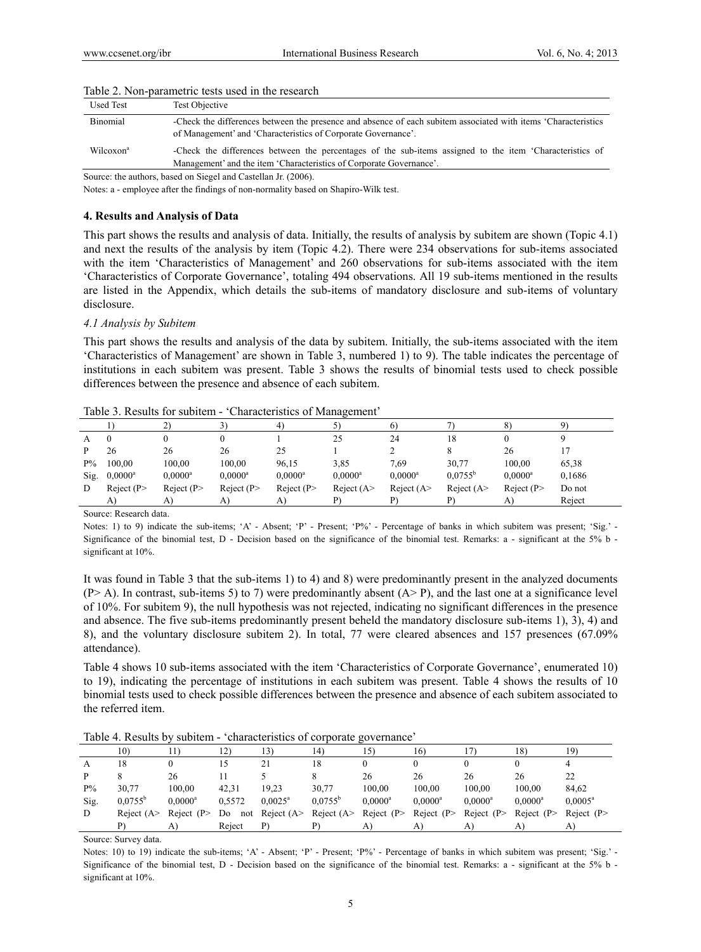| <b>Used Test</b>      | Test Objective                                                                                                                                                                  |
|-----------------------|---------------------------------------------------------------------------------------------------------------------------------------------------------------------------------|
| Binomial              | -Check the differences between the presence and absence of each subitem associated with items 'Characteristics<br>of Management' and 'Characteristics of Corporate Governance'. |
| Wilcoxon <sup>a</sup> | -Check the differences between the percentages of the sub-items assigned to the item 'Characteristics of<br>Management' and the item 'Characteristics of Corporate Governance'. |

#### Table 2. Non-parametric tests used in the research

Source: the authors, based on Siegel and Castellan Jr. (2006).

Notes: a - employee after the findings of non-normality based on Shapiro-Wilk test.

## **4. Results and Analysis of Data**

This part shows the results and analysis of data. Initially, the results of analysis by subitem are shown (Topic 4.1) and next the results of the analysis by item (Topic 4.2). There were 234 observations for sub-items associated with the item 'Characteristics of Management' and 260 observations for sub-items associated with the item 'Characteristics of Corporate Governance', totaling 494 observations. All 19 sub-items mentioned in the results are listed in the Appendix, which details the sub-items of mandatory disclosure and sub-items of voluntary disclosure.

#### *4.1 Analysis by Subitem*

This part shows the results and analysis of the data by subitem. Initially, the sub-items associated with the item 'Characteristics of Management' are shown in Table 3, numbered 1) to 9). The table indicates the percentage of institutions in each subitem was present. Table 3 shows the results of binomial tests used to check possible differences between the presence and absence of each subitem.

| A     |                  |             |             |                       | 25           | 24           | 18               |                       |        |
|-------|------------------|-------------|-------------|-----------------------|--------------|--------------|------------------|-----------------------|--------|
|       | 26               | 26          | 26          | 25                    |              |              |                  | 26                    |        |
| $P\%$ | 100,00           | 100.00      | 100.00      | 96,15                 | 3,85         | 7.69         | 30,77            | 100.00                | 65,38  |
| Sig.  | $0.0000^{\rm a}$ | $0.0000^a$  | $0.0000^a$  | $0.0000$ <sup>a</sup> | $0.0000^a$   | $0.0000^a$   | $0.0755^{\rm b}$ | $0.0000$ <sup>a</sup> | 0,1686 |
| D     | Reject $(P$      | Reject $(P$ | Reject $(P$ | Reject $(P$           | Reject $(A>$ | Reject $(A>$ | Reject $(A>$     | Reject $(P$           | Do not |
|       | A)               | A)          | A)          | A)                    |              |              |                  | A)                    | Reject |

Table 3. Results for subitem - 'Characteristics of Management'

Source: Research data.

Notes: 1) to 9) indicate the sub-items; 'A' - Absent; 'P' - Present; 'P%' - Percentage of banks in which subitem was present; 'Sig.' -Significance of the binomial test, D - Decision based on the significance of the binomial test. Remarks: a - significant at the 5% b significant at 10%.

It was found in Table 3 that the sub-items 1) to 4) and 8) were predominantly present in the analyzed documents  $(P > A)$ . In contrast, sub-items 5) to 7) were predominantly absent  $(A > P)$ , and the last one at a significance level of 10%. For subitem 9), the null hypothesis was not rejected, indicating no significant differences in the presence and absence. The five sub-items predominantly present beheld the mandatory disclosure sub-items 1), 3), 4) and 8), and the voluntary disclosure subitem 2). In total, 77 were cleared absences and 157 presences (67.09% attendance).

Table 4 shows 10 sub-items associated with the item 'Characteristics of Corporate Governance', enumerated 10) to 19), indicating the percentage of institutions in each subitem was present. Table 4 shows the results of 10 binomial tests used to check possible differences between the presence and absence of each subitem associated to the referred item.

Table 4. Results by subitem - 'characteristics of corporate governance'

|       | 10)              |                  | (12)   | 13)                 | (4)                           | (5)           | 16)         | '7)         | 18)         | 19)                 |
|-------|------------------|------------------|--------|---------------------|-------------------------------|---------------|-------------|-------------|-------------|---------------------|
| A     | 18               |                  |        |                     | 18                            |               |             |             |             |                     |
| P     |                  | 26               |        |                     |                               | 26            | 26          | 26          | 26          | 22                  |
| $P\%$ | 30.77            | 100.00           | 42.31  | 19.23               | 30.77                         | 100,00        | 100.00      | 100.00      | 100.00      | 84,62               |
| Sig.  | $0.0755^{\rm b}$ | $0.0000^{\rm a}$ | 0.5572 | $0.0025^{\text{a}}$ | $0.0755^{\rm b}$              | $0.0000^a$    | $0.0000^a$  | $0.0000^a$  | $0.0000^a$  | $0.0005^{\text{a}}$ |
| D     | Reject $(A>$     | Reject $(P$      | Do     |                     | not Reject $(A > Reject (A >$ | Reject $(P >$ | Reject $(P$ | Reject $(P$ | Reject $(P$ | Reject $(P$         |
|       |                  |                  | Reject | P)                  |                               | A             | A           | A)          |             | A)                  |

Source: Survey data.

Notes: 10) to 19) indicate the sub-items; 'A' - Absent; 'P' - Present; 'P%' - Percentage of banks in which subitem was present; 'Sig.' -Significance of the binomial test, D - Decision based on the significance of the binomial test. Remarks: a - significant at the 5% b significant at 10%.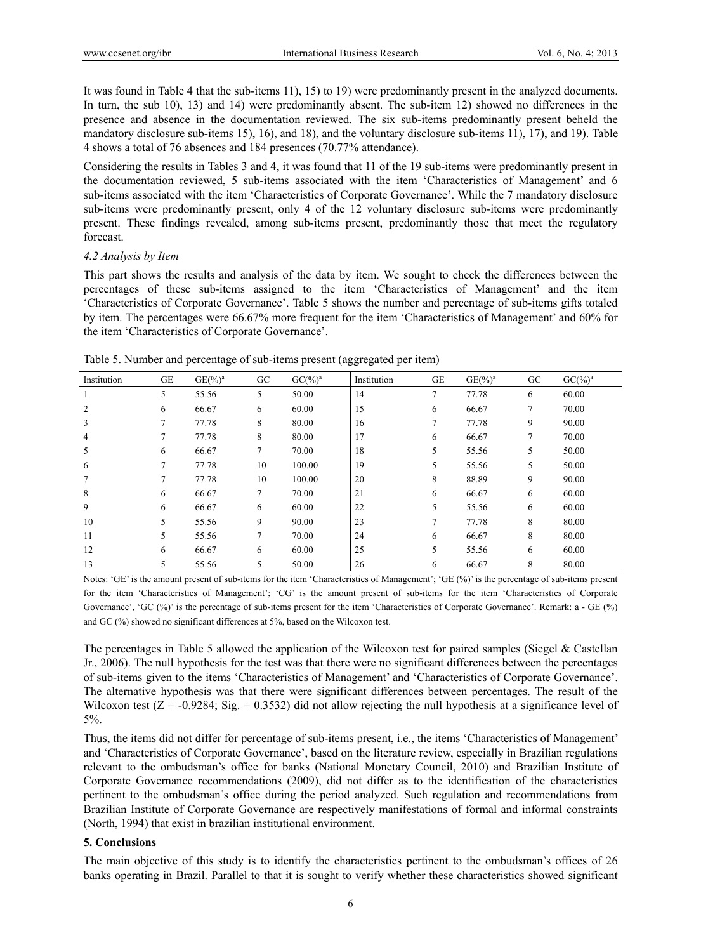It was found in Table 4 that the sub-items 11), 15) to 19) were predominantly present in the analyzed documents. In turn, the sub 10), 13) and 14) were predominantly absent. The sub-item 12) showed no differences in the presence and absence in the documentation reviewed. The six sub-items predominantly present beheld the mandatory disclosure sub-items 15), 16), and 18), and the voluntary disclosure sub-items 11), 17), and 19). Table 4 shows a total of 76 absences and 184 presences (70.77% attendance).

Considering the results in Tables 3 and 4, it was found that 11 of the 19 sub-items were predominantly present in the documentation reviewed, 5 sub-items associated with the item 'Characteristics of Management' and 6 sub-items associated with the item 'Characteristics of Corporate Governance'. While the 7 mandatory disclosure sub-items were predominantly present, only 4 of the 12 voluntary disclosure sub-items were predominantly present. These findings revealed, among sub-items present, predominantly those that meet the regulatory forecast.

## *4.2 Analysis by Item*

This part shows the results and analysis of the data by item. We sought to check the differences between the percentages of these sub-items assigned to the item 'Characteristics of Management' and the item 'Characteristics of Corporate Governance'. Table 5 shows the number and percentage of sub-items gifts totaled by item. The percentages were 66.67% more frequent for the item 'Characteristics of Management' and 60% for the item 'Characteristics of Corporate Governance'.

| Institution    | GE | $GE(\frac{6}{6})^a$ | GC | $GC(9/0)a$ | Institution | GE | $GE(%)^a$ | GC     | GC( <sub>2</sub> ) <sup>a</sup> |  |
|----------------|----|---------------------|----|------------|-------------|----|-----------|--------|---------------------------------|--|
| 1              | 5  | 55.56               | 5  | 50.00      | 14          | 7  | 77.78     | 6      | 60.00                           |  |
| $\overline{c}$ | 6  | 66.67               | 6  | 60.00      | 15          | 6  | 66.67     | $\tau$ | 70.00                           |  |
| 3              | 7  | 77.78               | 8  | 80.00      | 16          |    | 77.78     | 9      | 90.00                           |  |
| 4              | 7  | 77.78               | 8  | 80.00      | 17          | 6  | 66.67     | 7      | 70.00                           |  |
| 5              | 6  | 66.67               | 7  | 70.00      | 18          | 5  | 55.56     | 5      | 50.00                           |  |
| 6              | 7  | 77.78               | 10 | 100.00     | 19          | 5  | 55.56     | 5      | 50.00                           |  |
| 7              | 7  | 77.78               | 10 | 100.00     | 20          | 8  | 88.89     | 9      | 90.00                           |  |
| 8              | 6  | 66.67               | 7  | 70.00      | 21          | 6  | 66.67     | 6      | 60.00                           |  |
| 9              | 6  | 66.67               | 6  | 60.00      | 22          | 5  | 55.56     | 6      | 60.00                           |  |
| 10             | 5  | 55.56               | 9  | 90.00      | 23          |    | 77.78     | 8      | 80.00                           |  |
| 11             | 5  | 55.56               | 7  | 70.00      | 24          | 6  | 66.67     | 8      | 80.00                           |  |
| 12             | 6  | 66.67               | 6  | 60.00      | 25          | 5  | 55.56     | 6      | 60.00                           |  |
| 13             | 5  | 55.56               | 5  | 50.00      | 26          | 6  | 66.67     | 8      | 80.00                           |  |

Table 5. Number and percentage of sub-items present (aggregated per item)

Notes: 'GE' is the amount present of sub-items for the item 'Characteristics of Management'; 'GE (%)' is the percentage of sub-items present for the item 'Characteristics of Management'; 'CG' is the amount present of sub-items for the item 'Characteristics of Corporate Governance', 'GC (%)' is the percentage of sub-items present for the item 'Characteristics of Corporate Governance'. Remark: a - GE (%) and GC (%) showed no significant differences at 5%, based on the Wilcoxon test.

The percentages in Table 5 allowed the application of the Wilcoxon test for paired samples (Siegel & Castellan Jr., 2006). The null hypothesis for the test was that there were no significant differences between the percentages of sub-items given to the items 'Characteristics of Management' and 'Characteristics of Corporate Governance'. The alternative hypothesis was that there were significant differences between percentages. The result of the Wilcoxon test  $(Z = -0.9284$ ; Sig. = 0.3532) did not allow rejecting the null hypothesis at a significance level of 5%.

Thus, the items did not differ for percentage of sub-items present, i.e., the items 'Characteristics of Management' and 'Characteristics of Corporate Governance', based on the literature review, especially in Brazilian regulations relevant to the ombudsman's office for banks (National Monetary Council, 2010) and Brazilian Institute of Corporate Governance recommendations (2009), did not differ as to the identification of the characteristics pertinent to the ombudsman's office during the period analyzed. Such regulation and recommendations from Brazilian Institute of Corporate Governance are respectively manifestations of formal and informal constraints (North, 1994) that exist in brazilian institutional environment.

# **5. Conclusions**

The main objective of this study is to identify the characteristics pertinent to the ombudsman's offices of 26 banks operating in Brazil. Parallel to that it is sought to verify whether these characteristics showed significant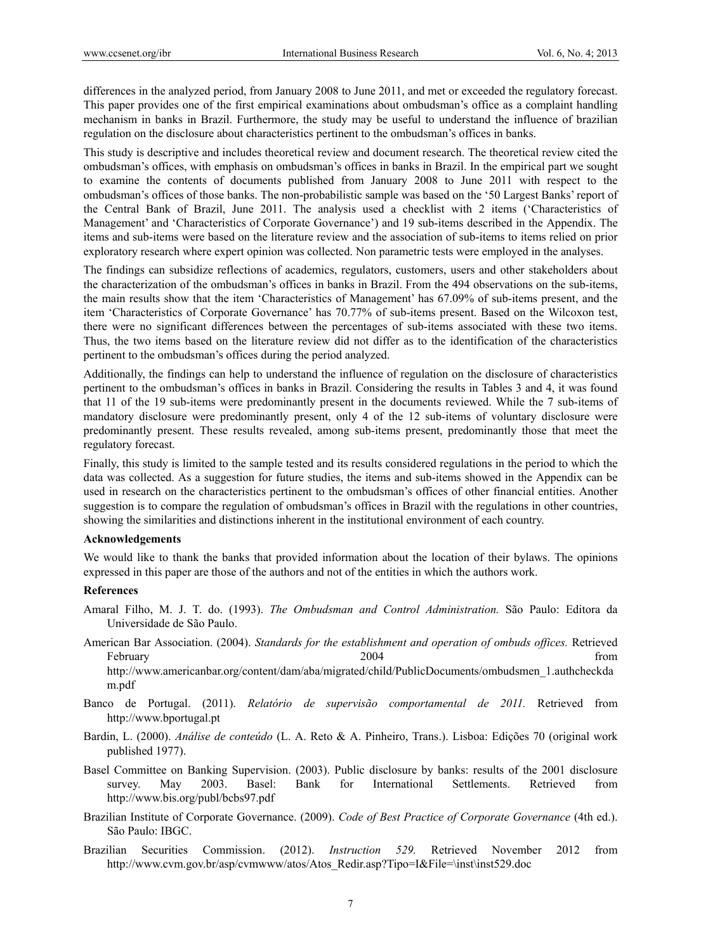differences in the analyzed period, from January 2008 to June 2011, and met or exceeded the regulatory forecast. This paper provides one of the first empirical examinations about ombudsman's office as a complaint handling mechanism in banks in Brazil. Furthermore, the study may be useful to understand the influence of brazilian regulation on the disclosure about characteristics pertinent to the ombudsman's offices in banks.

This study is descriptive and includes theoretical review and document research. The theoretical review cited the ombudsman's offices, with emphasis on ombudsman's offices in banks in Brazil. In the empirical part we sought to examine the contents of documents published from January 2008 to June 2011 with respect to the ombudsman's offices of those banks. The non-probabilistic sample was based on the '50 Largest Banks' report of the Central Bank of Brazil, June 2011. The analysis used a checklist with 2 items ('Characteristics of Management' and 'Characteristics of Corporate Governance') and 19 sub-items described in the Appendix. The items and sub-items were based on the literature review and the association of sub-items to items relied on prior exploratory research where expert opinion was collected. Non parametric tests were employed in the analyses.

The findings can subsidize reflections of academics, regulators, customers, users and other stakeholders about the characterization of the ombudsman's offices in banks in Brazil. From the 494 observations on the sub-items, the main results show that the item 'Characteristics of Management' has 67.09% of sub-items present, and the item 'Characteristics of Corporate Governance' has 70.77% of sub-items present. Based on the Wilcoxon test, there were no significant differences between the percentages of sub-items associated with these two items. Thus, the two items based on the literature review did not differ as to the identification of the characteristics pertinent to the ombudsman's offices during the period analyzed.

Additionally, the findings can help to understand the influence of regulation on the disclosure of characteristics pertinent to the ombudsman's offices in banks in Brazil. Considering the results in Tables 3 and 4, it was found that 11 of the 19 sub-items were predominantly present in the documents reviewed. While the 7 sub-items of mandatory disclosure were predominantly present, only 4 of the 12 sub-items of voluntary disclosure were predominantly present. These results revealed, among sub-items present, predominantly those that meet the regulatory forecast.

Finally, this study is limited to the sample tested and its results considered regulations in the period to which the data was collected. As a suggestion for future studies, the items and sub-items showed in the Appendix can be used in research on the characteristics pertinent to the ombudsman's offices of other financial entities. Another suggestion is to compare the regulation of ombudsman's offices in Brazil with the regulations in other countries, showing the similarities and distinctions inherent in the institutional environment of each country.

### **Acknowledgements**

We would like to thank the banks that provided information about the location of their bylaws. The opinions expressed in this paper are those of the authors and not of the entities in which the authors work.

## **References**

- Amaral Filho, M. J. T. do. (1993). *The Ombudsman and Control Administration.* São Paulo: Editora da Universidade de São Paulo.
- American Bar Association. (2004). *Standards for the establishment and operation of ombuds offices.* Retrieved February 1999 and 2004 and 2004 from the set of the set of the set of the set of the set of the set of the set of the set of the set of the set of the set of the set of the set of the set of the set of the set of the set o http://www.americanbar.org/content/dam/aba/migrated/child/PublicDocuments/ombudsmen\_1.authcheckda m.pdf
- Banco de Portugal. (2011). *Relatório de supervisão comportamental de 2011.* Retrieved from http://www.bportugal.pt
- Bardin, L. (2000). *Análise de conteúdo* (L. A. Reto & A. Pinheiro, Trans.). Lisboa: Edições 70 (original work published 1977).
- Basel Committee on Banking Supervision. (2003). Public disclosure by banks: results of the 2001 disclosure survey. May 2003. Basel: Bank for International Settlements. Retrieved from http://www.bis.org/publ/bcbs97.pdf
- Brazilian Institute of Corporate Governance. (2009). *Code of Best Practice of Corporate Governance* (4th ed.). São Paulo: IBGC.
- Brazilian Securities Commission. (2012). *Instruction 529.* Retrieved November 2012 from http://www.cvm.gov.br/asp/cvmwww/atos/Atos\_Redir.asp?Tipo=I&File=\inst\inst529.doc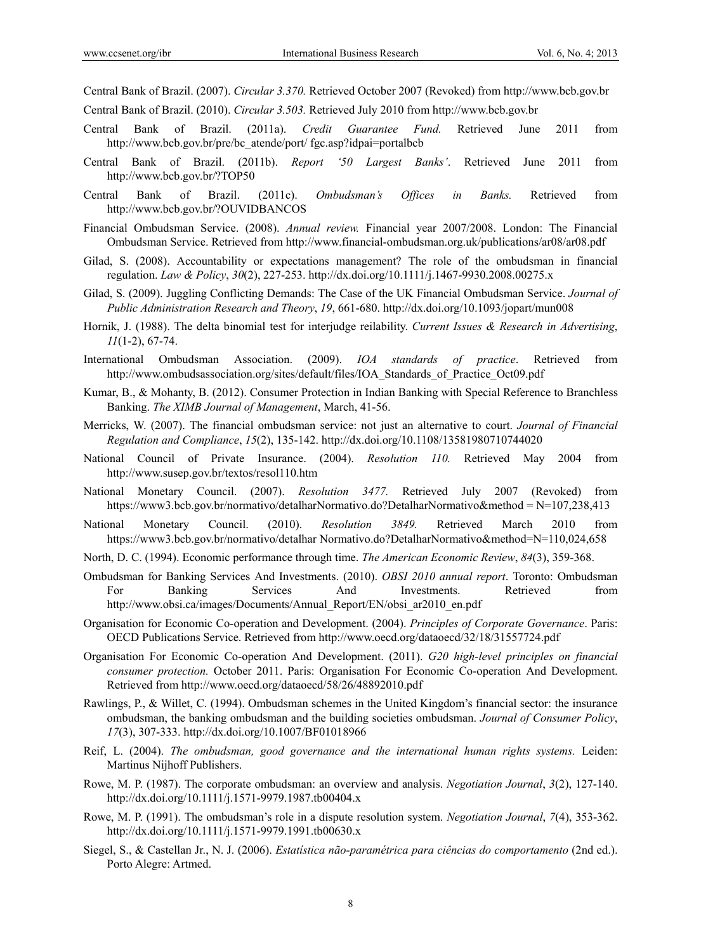Central Bank of Brazil. (2007). *Circular 3.370.* Retrieved October 2007 (Revoked) from http://www.bcb.gov.br

Central Bank of Brazil. (2010). *Circular 3.503.* Retrieved July 2010 from http://www.bcb.gov.br

- Central Bank of Brazil. (2011a). *Credit Guarantee Fund.* Retrieved June 2011 from http://www.bcb.gov.br/pre/bc\_atende/port/ fgc.asp?idpai=portalbcb
- Central Bank of Brazil. (2011b). *Report '50 Largest Banks'*. Retrieved June 2011 from http://www.bcb.gov.br/?TOP50
- Central Bank of Brazil. (2011c). *Ombudsman's Offices in Banks.* Retrieved from http://www.bcb.gov.br/?OUVIDBANCOS
- Financial Ombudsman Service. (2008). *Annual review.* Financial year 2007/2008. London: The Financial Ombudsman Service. Retrieved from http://www.financial-ombudsman.org.uk/publications/ar08/ar08.pdf
- Gilad, S. (2008). Accountability or expectations management? The role of the ombudsman in financial regulation. *Law & Policy*, *30*(2), 227-253. http://dx.doi.org/10.1111/j.1467-9930.2008.00275.x
- Gilad, S. (2009). Juggling Conflicting Demands: The Case of the UK Financial Ombudsman Service. *Journal of Public Administration Research and Theory*, *19*, 661-680. http://dx.doi.org/10.1093/jopart/mun008
- Hornik, J. (1988). The delta binomial test for interjudge reilability. *Current Issues & Research in Advertising*, *11*(1-2), 67-74.
- International Ombudsman Association. (2009). *IOA standards of practice*. Retrieved from http://www.ombudsassociation.org/sites/default/files/IOA\_Standards\_of\_Practice\_Oct09.pdf
- Kumar, B., & Mohanty, B. (2012). Consumer Protection in Indian Banking with Special Reference to Branchless Banking. *The XIMB Journal of Management*, March, 41-56.
- Merricks, W. (2007). The financial ombudsman service: not just an alternative to court. *Journal of Financial Regulation and Compliance*, *15*(2), 135-142. http://dx.doi.org/10.1108/13581980710744020
- National Council of Private Insurance. (2004). *Resolution 110.* Retrieved May 2004 from http://www.susep.gov.br/textos/resol110.htm
- National Monetary Council. (2007). *Resolution 3477.* Retrieved July 2007 (Revoked) from https://www3.bcb.gov.br/normativo/detalharNormativo.do?DetalharNormativo&method = N=107,238,413
- National Monetary Council. (2010). *Resolution 3849.* Retrieved March 2010 from https://www3.bcb.gov.br/normativo/detalhar Normativo.do?DetalharNormativo&method=N=110,024,658
- North, D. C. (1994). Economic performance through time. *The American Economic Review*, *84*(3), 359-368.
- Ombudsman for Banking Services And Investments. (2010). *OBSI 2010 annual report*. Toronto: Ombudsman For Banking Services And Investments. Retrieved from http://www.obsi.ca/images/Documents/Annual\_Report/EN/obsi\_ar2010\_en.pdf
- Organisation for Economic Co-operation and Development. (2004). *Principles of Corporate Governance*. Paris: OECD Publications Service. Retrieved from http://www.oecd.org/dataoecd/32/18/31557724.pdf
- Organisation For Economic Co-operation And Development. (2011). *G20 high-level principles on financial consumer protection.* October 2011. Paris: Organisation For Economic Co-operation And Development. Retrieved from http://www.oecd.org/dataoecd/58/26/48892010.pdf
- Rawlings, P., & Willet, C. (1994). Ombudsman schemes in the United Kingdom's financial sector: the insurance ombudsman, the banking ombudsman and the building societies ombudsman. *Journal of Consumer Policy*, *17*(3), 307-333. http://dx.doi.org/10.1007/BF01018966
- Reif, L. (2004). *The ombudsman, good governance and the international human rights systems.* Leiden: Martinus Nijhoff Publishers.
- Rowe, M. P. (1987). The corporate ombudsman: an overview and analysis. *Negotiation Journal*, *3*(2), 127-140. http://dx.doi.org/10.1111/j.1571-9979.1987.tb00404.x
- Rowe, M. P. (1991). The ombudsman's role in a dispute resolution system. *Negotiation Journal*, *7*(4), 353-362. http://dx.doi.org/10.1111/j.1571-9979.1991.tb00630.x
- Siegel, S., & Castellan Jr., N. J. (2006). *Estatística não-paramétrica para ciências do comportamento* (2nd ed.). Porto Alegre: Artmed.